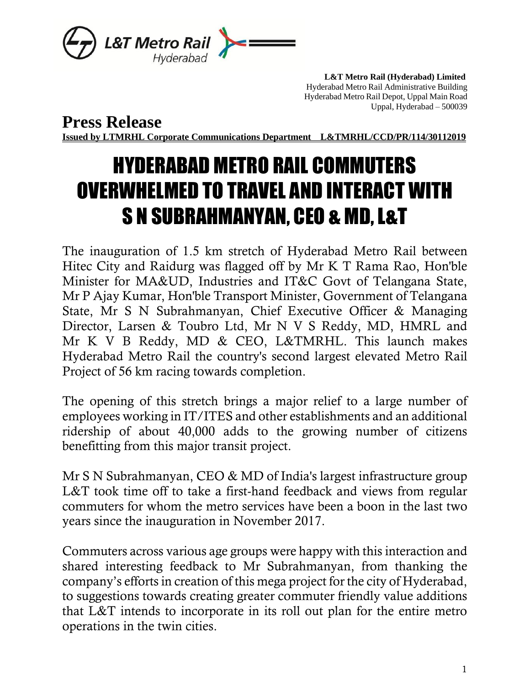

 **L&T Metro Rail (Hyderabad) Limited** Hyderabad Metro Rail Administrative Building Hyderabad Metro Rail Depot, Uppal Main Road Uppal, Hyderabad – 500039

**Press Release**

**Issued by LTMRHL Corporate Communications Department L&TMRHL/CCD/PR/114/30112019**

## HYDERABAD METRO RAIL COMMUTERS OVERWHELMED TO TRAVEL AND INTERACT WITH S N SUBRAHMANYAN, CEO & MD, L&T

The inauguration of 1.5 km stretch of Hyderabad Metro Rail between Hitec City and Raidurg was flagged off by Mr K T Rama Rao, Hon'ble Minister for MA&UD, Industries and IT&C Govt of Telangana State, Mr P Ajay Kumar, Hon'ble Transport Minister, Government of Telangana State, Mr S N Subrahmanyan, Chief Executive Officer & Managing Director, Larsen & Toubro Ltd, Mr N V S Reddy, MD, HMRL and Mr K V B Reddy, MD & CEO, L&TMRHL. This launch makes Hyderabad Metro Rail the country's second largest elevated Metro Rail Project of 56 km racing towards completion.

The opening of this stretch brings a major relief to a large number of employees working in IT/ITES and other establishments and an additional ridership of about 40,000 adds to the growing number of citizens benefitting from this major transit project.

Mr S N Subrahmanyan, CEO & MD of India's largest infrastructure group L&T took time off to take a first-hand feedback and views from regular commuters for whom the metro services have been a boon in the last two years since the inauguration in November 2017.

Commuters across various age groups were happy with this interaction and shared interesting feedback to Mr Subrahmanyan, from thanking the company's efforts in creation of this mega project for the city of Hyderabad, to suggestions towards creating greater commuter friendly value additions that L&T intends to incorporate in its roll out plan for the entire metro operations in the twin cities.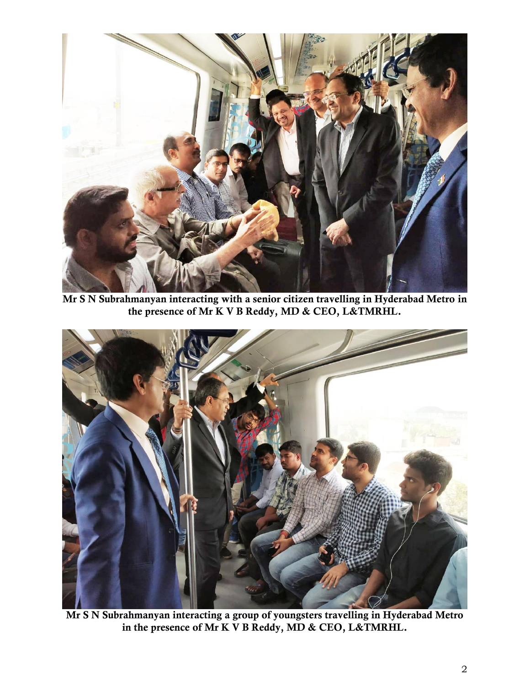

Mr S N Subrahmanyan interacting with a senior citizen travelling in Hyderabad Metro in the presence of Mr K V B Reddy, MD & CEO, L&TMRHL.



Mr S N Subrahmanyan interacting a group of youngsters travelling in Hyderabad Metro in the presence of Mr K V B Reddy, MD & CEO, L&TMRHL.